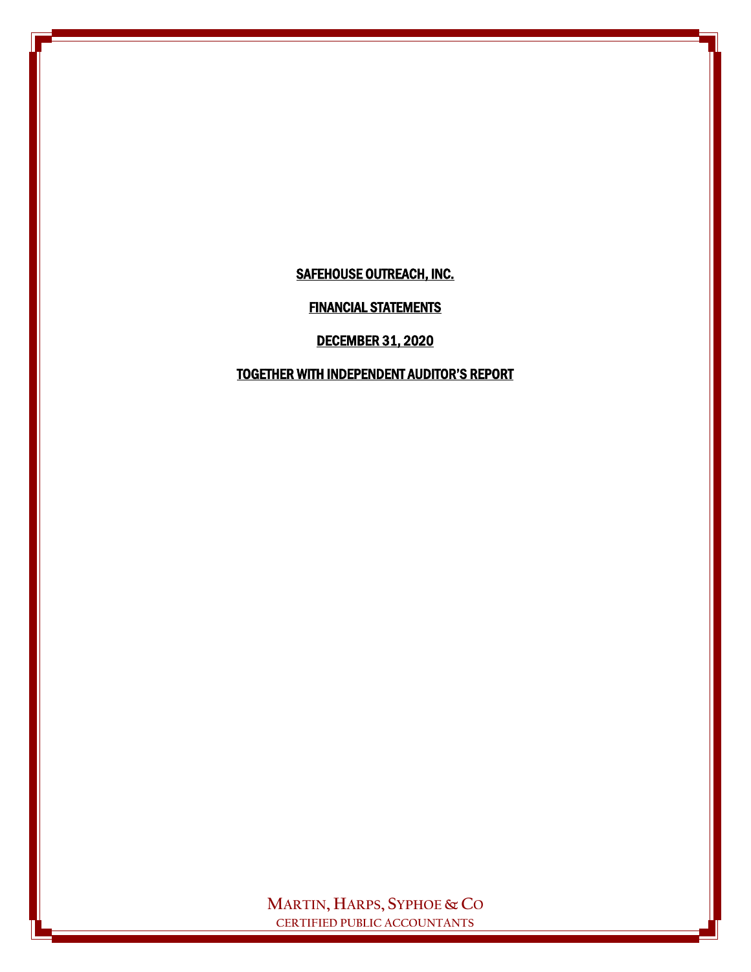FINANCIAL STATEMENTS

DECEMBER 31, 2020

TOGETHER WITH INDEPENDENT AUDITOR'S REPORT

**MARTIN, HARPS, SYPHOE & CO CERTIFIED PUBLIC ACCOUNTANTS**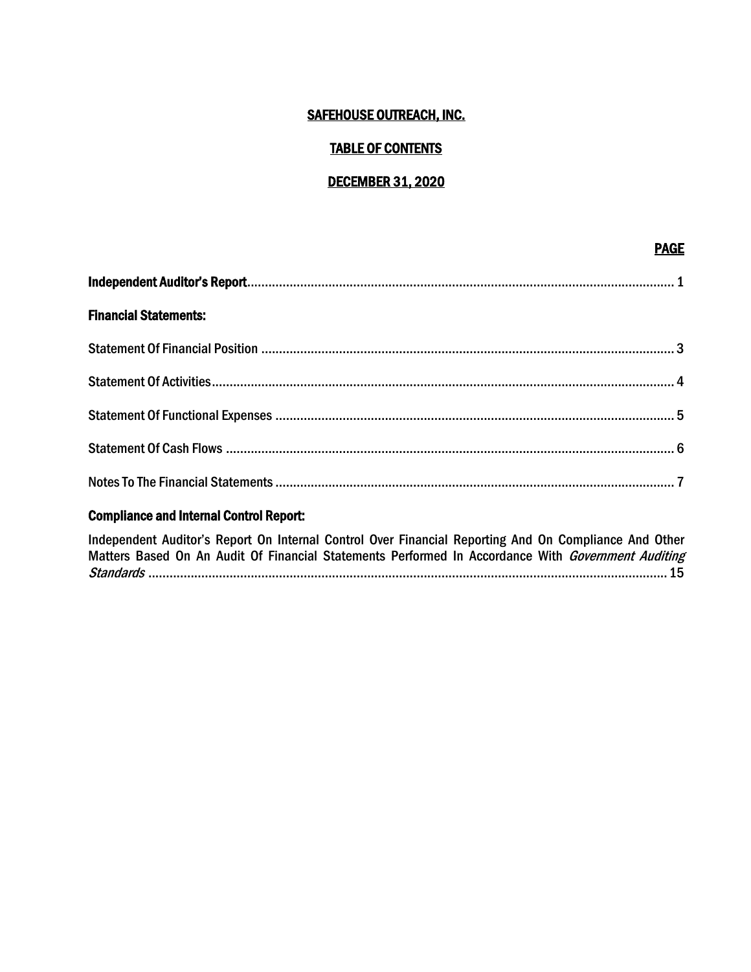#### TABLE OF CONTENTS

#### DECEMBER 31, 2020

en de la provincia de la provincia de la provincia de la provincia de la provincia de la provincia de la provi

| <b>Financial Statements:</b> |  |
|------------------------------|--|
|                              |  |
|                              |  |
|                              |  |
|                              |  |
|                              |  |

### Compliance and Internal Control Report:

Independent Auditor's Report On Internal Control Over Financial Reporting And On Compliance And Other Matters Based On An Audit Of Financial Statements Performed In Accordance With Government Auditing Standards ...................................................................................................................................................15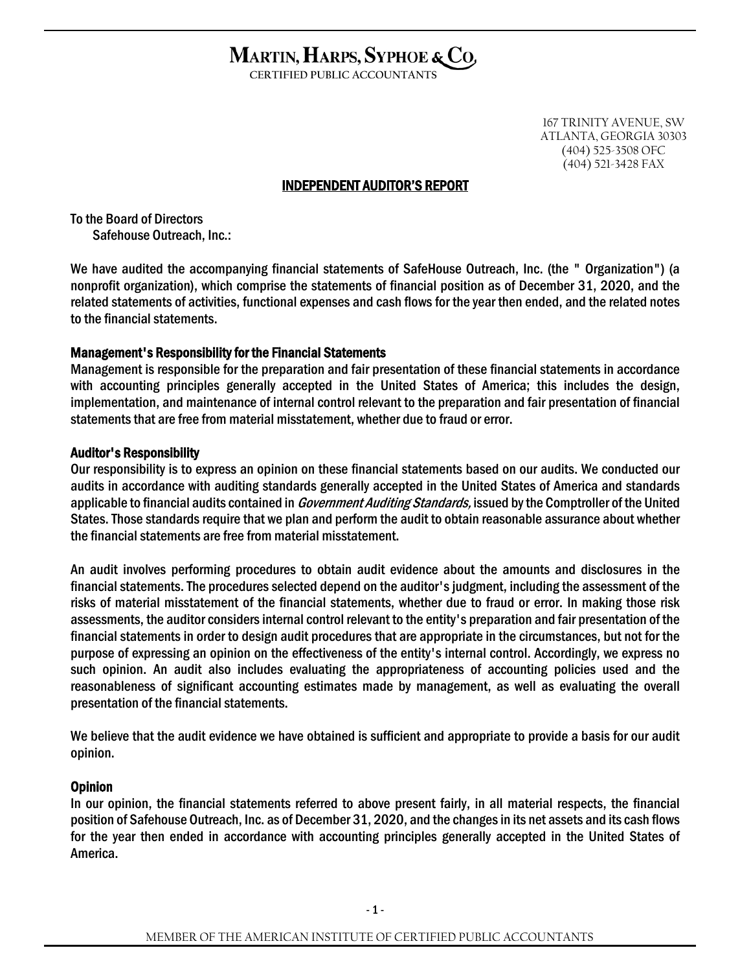#### MARTIN, HARPS, SYPHOE & CO, ì

**CERTIFIED PUBLIC ACCOUNTANTS**

167 TRINITY AVENUE, SW ATLANTA, GEORGIA 30303 (404) 525-3508 OFC (404) 521-3428 FAX

#### INDEPENDENT AUDITOR'S REPORT

To the Board of Directors Safehouse Outreach, Inc.:

We have audited the accompanying financial statements of SafeHouse Outreach, Inc. (the " Organization") (a nonprofit organization), which comprise the statements of financial position as of December 31, 2020, and the related statements of activities, functional expenses and cash flows for the year then ended, and the related notes to the financial statements.

#### Management's Responsibility for the Financial Statements

Management is responsible for the preparation and fair presentation of these financial statements in accordance with accounting principles generally accepted in the United States of America; this includes the design, implementation, and maintenance of internal control relevant to the preparation and fair presentation of financial statements that are free from material misstatement, whether due to fraud or error.

#### Auditor's Responsibility

Our responsibility is to express an opinion on these financial statements based on our audits. We conducted our audits in accordance with auditing standards generally accepted in the United States of America and standards applicable to financial audits contained in *Government Auditing Standards*, issued by the Comptroller of the United States. Those standards require that we plan and perform the audit to obtain reasonable assurance about whether the financial statements are free from material misstatement.

An audit involves performing procedures to obtain audit evidence about the amounts and disclosures in the financial statements. The procedures selected depend on the auditor's judgment, including the assessment of the risks of material misstatement of the financial statements, whether due to fraud or error. In making those risk assessments, the auditor considers internal control relevant to the entity's preparation and fair presentation of the financial statements in order to design audit procedures that are appropriate in the circumstances, but not for the purpose of expressing an opinion on the effectiveness of the entity's internal control. Accordingly, we express no such opinion. An audit also includes evaluating the appropriateness of accounting policies used and the reasonableness of significant accounting estimates made by management, as well as evaluating the overall presentation of the financial statements.

We believe that the audit evidence we have obtained is sufficient and appropriate to provide a basis for our audit opinion.

#### Opinion

In our opinion, the financial statements referred to above present fairly, in all material respects, the financial position of Safehouse Outreach, Inc. as of December 31, 2020, and the changes in its net assets and its cash flows for the year then ended in accordance with accounting principles generally accepted in the United States of America.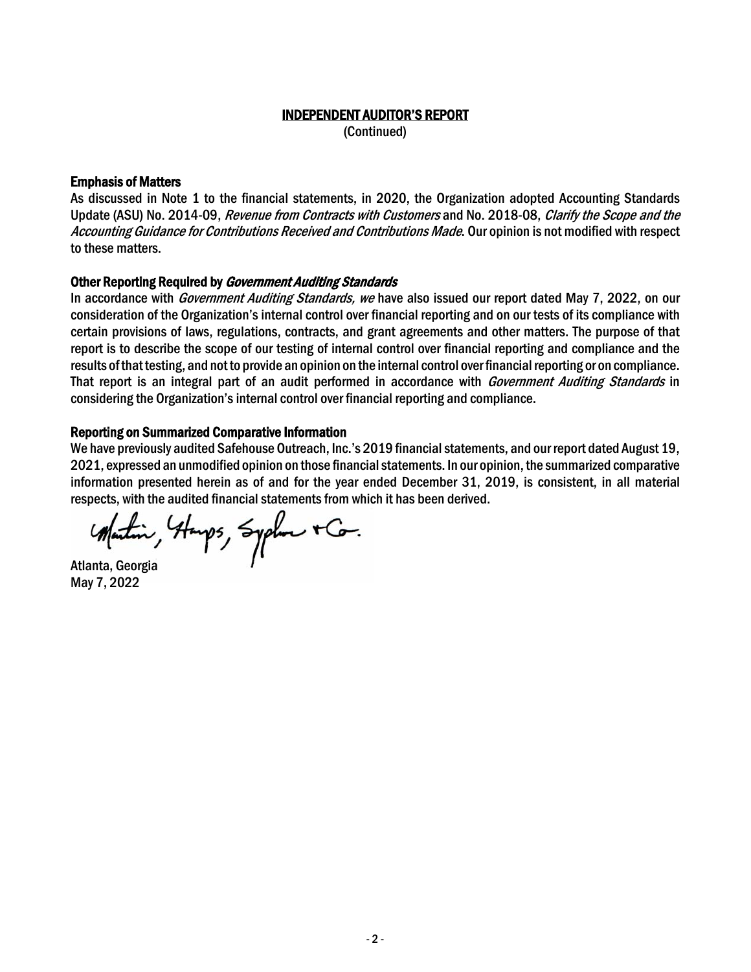## INDEPENDENT AUDITOR'S REPORT

(Continued)

#### Emphasis of Matters

As discussed in Note 1 to the financial statements, in 2020, the Organization adopted Accounting Standards Update (ASU) No. 2014-09, Revenue from Contracts with Customers and No. 2018-08, Clarify the Scope and the Accounting Guidance for Contributions Received and Contributions Made. Our opinion is not modified with respect to these matters.

#### Other Reporting Required by *Government Auditing Standards*

In accordance with *Government Auditing Standards, we* have also issued our report dated May 7, 2022, on our consideration of the Organization's internal control over financial reporting and on our tests of its compliance with certain provisions of laws, regulations, contracts, and grant agreements and other matters. The purpose of that report is to describe the scope of our testing of internal control over financial reporting and compliance and the results of that testing, and not to provide an opinion on the internal control over financial reporting or on compliance. That report is an integral part of an audit performed in accordance with *Government Auditing Standards* in considering the Organization's internal control over financial reporting and compliance.

#### Reporting on Summarized Comparative Information

We have previously audited Safehouse Outreach, Inc.'s 2019 financial statements, and our report dated August 19, 2021, expressed an unmodified opinion on those financial statements. In our opinion, the summarized comparative information presented herein as of and for the year ended December 31, 2019, is consistent, in all material respects, with the audited financial statements from which it has been derived.

*Matin, Hanps, Syphone + Co.*<br>Atlanta, Georgia

May 7, 2022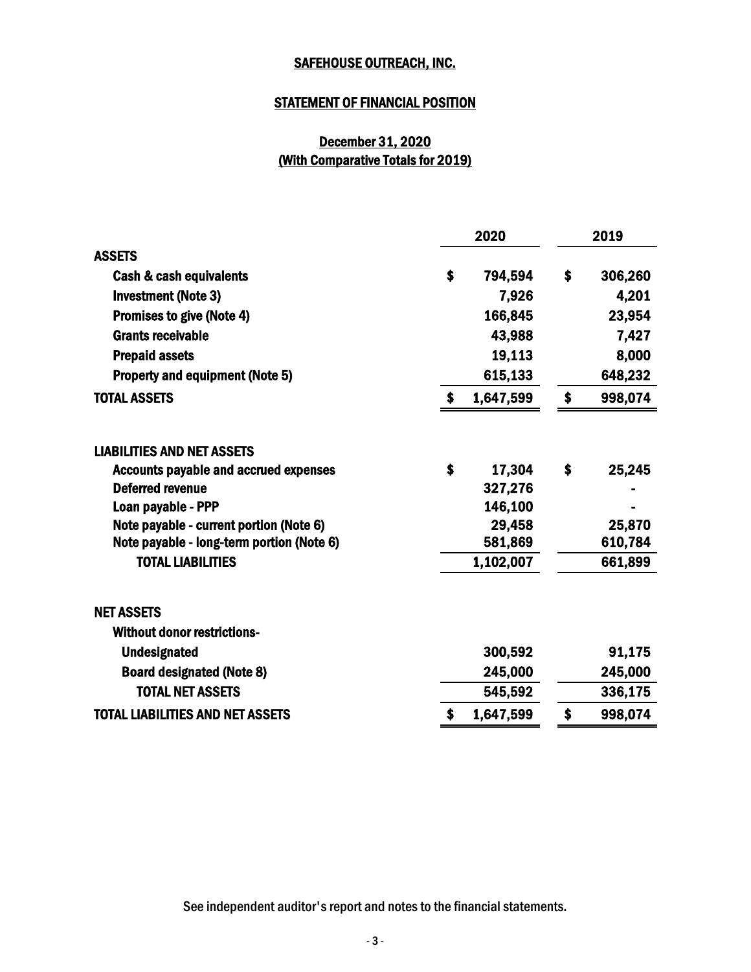### STATEMENT OF FINANCIAL POSITION

## December 31, 2020 (With Comparative Totals for 2019)

|                                              |              | 2020      | 2019          |
|----------------------------------------------|--------------|-----------|---------------|
| <b>ASSETS</b>                                |              |           |               |
| Cash & cash equivalents                      | $\mathbf{s}$ | 794,594   | \$<br>306,260 |
| <b>Investment (Note 3)</b>                   |              | 7,926     | 4,201         |
| Promises to give (Note 4)                    |              | 166,845   | 23,954        |
| <b>Grants receivable</b>                     |              | 43,988    | 7,427         |
| <b>Prepaid assets</b>                        |              | 19,113    | 8,000         |
| <b>Property and equipment (Note 5)</b>       |              | 615,133   | 648,232       |
| <b>TOTAL ASSETS</b>                          | $\bullet$    | 1,647,599 | \$<br>998,074 |
| <b>LIABILITIES AND NET ASSETS</b>            |              |           |               |
| <b>Accounts payable and accrued expenses</b> | \$           | 17,304    | \$<br>25,245  |
| <b>Deferred revenue</b>                      |              | 327,276   |               |
| Loan payable - PPP                           |              | 146,100   |               |
| Note payable - current portion (Note 6)      |              | 29,458    | 25,870        |
| Note payable - long-term portion (Note 6)    |              | 581,869   | 610,784       |
| <b>TOTAL LIABILITIES</b>                     |              | 1,102,007 | 661,899       |
| <b>NET ASSETS</b>                            |              |           |               |
| <b>Without donor restrictions-</b>           |              |           |               |
| <b>Undesignated</b>                          |              | 300,592   | 91,175        |
| <b>Board designated (Note 8)</b>             |              | 245,000   | 245,000       |
| <b>TOTAL NET ASSETS</b>                      |              | 545,592   | 336,175       |
| <b>TOTAL LIABILITIES AND NET ASSETS</b>      | S            | 1,647,599 | \$<br>998,074 |
|                                              |              |           |               |

See independent auditor's report and notes to the financial statements.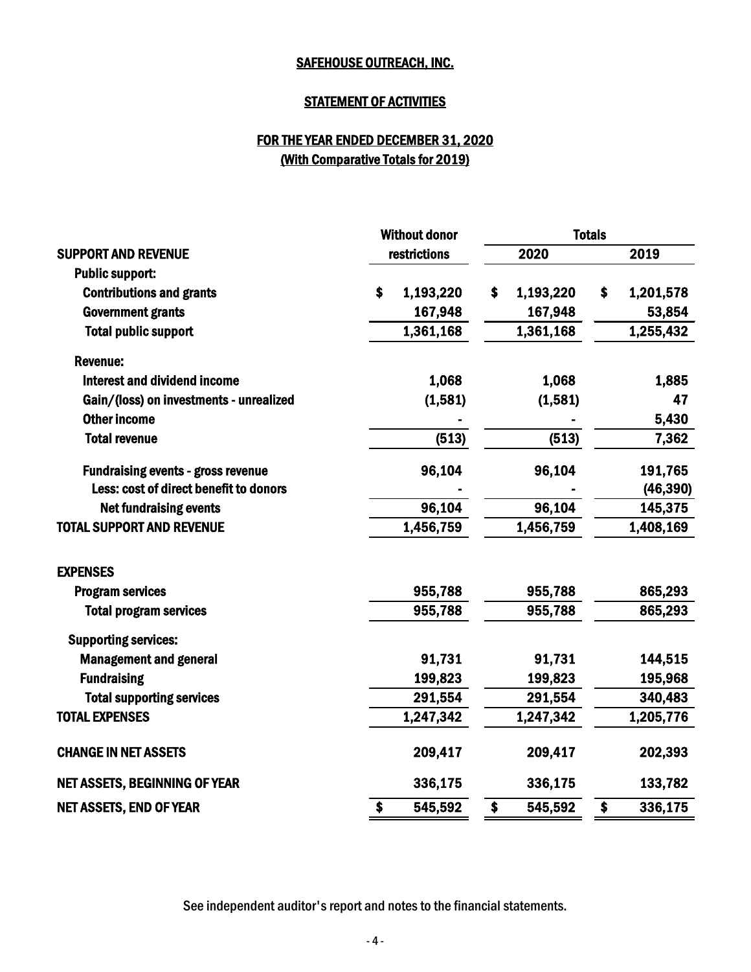#### STATEMENT OF ACTIVITIES

## FOR THE YEAR ENDED DECEMBER 31, 2020 (With Comparative Totals for 2019)

| 2020<br>restrictions<br>2019<br><b>SUPPORT AND REVENUE</b><br><b>Public support:</b><br><b>Contributions and grants</b><br>1,193,220<br>1,193,220<br>1,201,578<br>\$<br>\$<br>\$<br>167,948<br><b>Government grants</b><br>167,948<br><b>Total public support</b><br>1,255,432<br>1,361,168<br>1,361,168<br><b>Revenue:</b><br>Interest and dividend income<br>1,068<br>1,068<br>(1,581)<br>(1,581)<br>Gain/(loss) on investments - unrealized<br><b>Other income</b><br>(513)<br>(513)<br><b>Total revenue</b><br>96,104<br>96,104<br>191,765<br><b>Fundraising events - gross revenue</b> |           |
|---------------------------------------------------------------------------------------------------------------------------------------------------------------------------------------------------------------------------------------------------------------------------------------------------------------------------------------------------------------------------------------------------------------------------------------------------------------------------------------------------------------------------------------------------------------------------------------------|-----------|
|                                                                                                                                                                                                                                                                                                                                                                                                                                                                                                                                                                                             |           |
|                                                                                                                                                                                                                                                                                                                                                                                                                                                                                                                                                                                             |           |
|                                                                                                                                                                                                                                                                                                                                                                                                                                                                                                                                                                                             |           |
|                                                                                                                                                                                                                                                                                                                                                                                                                                                                                                                                                                                             | 53,854    |
|                                                                                                                                                                                                                                                                                                                                                                                                                                                                                                                                                                                             |           |
|                                                                                                                                                                                                                                                                                                                                                                                                                                                                                                                                                                                             |           |
|                                                                                                                                                                                                                                                                                                                                                                                                                                                                                                                                                                                             | 1,885     |
|                                                                                                                                                                                                                                                                                                                                                                                                                                                                                                                                                                                             | 47        |
|                                                                                                                                                                                                                                                                                                                                                                                                                                                                                                                                                                                             | 5,430     |
|                                                                                                                                                                                                                                                                                                                                                                                                                                                                                                                                                                                             | 7,362     |
|                                                                                                                                                                                                                                                                                                                                                                                                                                                                                                                                                                                             |           |
| Less: cost of direct benefit to donors                                                                                                                                                                                                                                                                                                                                                                                                                                                                                                                                                      | (46, 390) |
| 96,104<br>96,104<br>145,375<br><b>Net fundraising events</b>                                                                                                                                                                                                                                                                                                                                                                                                                                                                                                                                |           |
| 1,456,759<br>1,456,759<br><b>TOTAL SUPPORT AND REVENUE</b><br>1,408,169                                                                                                                                                                                                                                                                                                                                                                                                                                                                                                                     |           |
| <b>EXPENSES</b>                                                                                                                                                                                                                                                                                                                                                                                                                                                                                                                                                                             |           |
| 955,788<br>865,293<br>955,788<br><b>Program services</b>                                                                                                                                                                                                                                                                                                                                                                                                                                                                                                                                    |           |
| 955,788<br>865,293<br>955,788<br><b>Total program services</b>                                                                                                                                                                                                                                                                                                                                                                                                                                                                                                                              |           |
| <b>Supporting services:</b>                                                                                                                                                                                                                                                                                                                                                                                                                                                                                                                                                                 |           |
| <b>Management and general</b><br>91,731<br>91,731<br>144,515                                                                                                                                                                                                                                                                                                                                                                                                                                                                                                                                |           |
| 199,823<br>199,823<br>195,968<br><b>Fundraising</b>                                                                                                                                                                                                                                                                                                                                                                                                                                                                                                                                         |           |
| <b>Total supporting services</b><br>291,554<br>291,554<br>340,483                                                                                                                                                                                                                                                                                                                                                                                                                                                                                                                           |           |
| <b>TOTAL EXPENSES</b><br>1,247,342<br>1,247,342<br>1,205,776                                                                                                                                                                                                                                                                                                                                                                                                                                                                                                                                |           |
| <b>CHANGE IN NET ASSETS</b><br>209,417<br>202,393<br>209,417                                                                                                                                                                                                                                                                                                                                                                                                                                                                                                                                |           |
| <b>NET ASSETS, BEGINNING OF YEAR</b><br>336,175<br>336,175<br>133,782                                                                                                                                                                                                                                                                                                                                                                                                                                                                                                                       |           |
| 545,592<br>\$<br><b>NET ASSETS, END OF YEAR</b><br>\$<br>\$<br>545,592<br>336,175                                                                                                                                                                                                                                                                                                                                                                                                                                                                                                           |           |

See independent auditor's report and notes to the financial statements.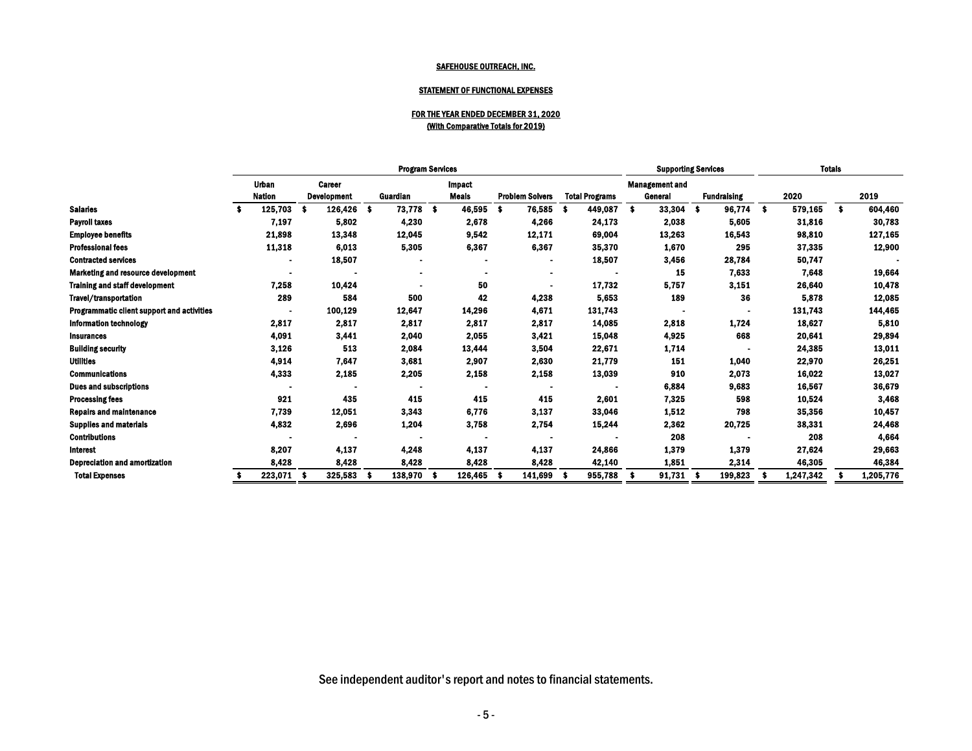|                                            | <b>Program Services</b> |                               |    |                                     |    |                 |      |                               |           | <b>Supporting Services</b> |     |                       |            |                                  | <b>Totals</b> |                    |             |           |             |           |
|--------------------------------------------|-------------------------|-------------------------------|----|-------------------------------------|----|-----------------|------|-------------------------------|-----------|----------------------------|-----|-----------------------|------------|----------------------------------|---------------|--------------------|-------------|-----------|-------------|-----------|
|                                            |                         | <b>Urban</b><br><b>Nation</b> |    | <b>Career</b><br><b>Development</b> |    | <b>Guardian</b> |      | <b>Impact</b><br><b>Meals</b> |           | <b>Problem Solvers</b>     |     | <b>Total Programs</b> |            | <b>Management and</b><br>General |               | <b>Fundraising</b> |             | 2020      |             | 2019      |
| <b>Salaries</b>                            |                         | 125,703                       |    | 126,426                             | -S | 73,778          | - \$ | 46,595                        | $\bullet$ | 76,585                     | -\$ | 449,087               | $\sqrt{5}$ | 33,304                           | \$            | 96,774             | $$^{\circ}$ | 579,165   | $$^{\circ}$ | 604,460   |
| <b>Payroll taxes</b>                       |                         | 7,197                         |    | 5,802                               |    | 4,230           |      | 2,678                         |           | 4,266                      |     | 24,173                |            | 2,038                            |               | 5,605              |             | 31,816    |             | 30,783    |
| <b>Employee benefits</b>                   |                         | 21,898                        |    | 13,348                              |    | 12,045          |      | 9,542                         |           | 12,171                     |     | 69,004                |            | 13,263                           |               | 16,543             |             | 98,810    |             | 127,165   |
| <b>Professional fees</b>                   |                         | 11,318                        |    | 6,013                               |    | 5,305           |      | 6,367                         |           | 6,367                      |     | 35,370                |            | 1,670                            |               | 295                |             | 37,335    |             | 12,900    |
| <b>Contracted services</b>                 |                         |                               |    | 18,507                              |    |                 |      |                               |           |                            |     | 18,507                |            | 3,456                            |               | 28,784             |             | 50,747    |             |           |
| <b>Marketing and resource development</b>  |                         |                               |    |                                     |    |                 |      |                               |           |                            |     |                       |            | <b>15</b>                        |               | 7,633              |             | 7,648     |             | 19,664    |
| <b>Training and staff development</b>      |                         | 7,258                         |    | 10,424                              |    |                 |      | 50                            |           |                            |     | 17,732                |            | 5,757                            |               | 3,151              |             | 26,640    |             | 10,478    |
| <b>Travel/transportation</b>               |                         | 289                           |    | 584                                 |    | 500             |      | 42                            |           | 4,238                      |     | 5,653                 |            | 189                              |               | 36                 |             | 5,878     |             | 12,085    |
| Programmatic client support and activities |                         |                               |    | 100,129                             |    | 12,647          |      | 14,296                        |           | 4,671                      |     | 131,743               |            |                                  |               |                    |             | 131,743   |             | 144,465   |
| <b>Information technology</b>              |                         | 2,817                         |    | 2,817                               |    | 2,817           |      | 2,817                         |           | 2,817                      |     | 14,085                |            | 2,818                            |               | 1,724              |             | 18,627    |             | 5,810     |
| <b>Insurances</b>                          |                         | 4,091                         |    | 3,441                               |    | 2,040           |      | 2,055                         |           | 3,421                      |     | 15,048                |            | 4,925                            |               | 668                |             | 20,641    |             | 29,894    |
| <b>Building security</b>                   |                         | 3,126                         |    | 513                                 |    | 2,084           |      | 13,444                        |           | 3,504                      |     | 22,671                |            | 1,714                            |               |                    |             | 24,385    |             | 13,011    |
| <b>Utilities</b>                           |                         | 4,914                         |    | 7,647                               |    | 3,681           |      | 2,907                         |           | 2,630                      |     | 21,779                |            | 151                              |               | 1,040              |             | 22,970    |             | 26,251    |
| <b>Communications</b>                      |                         | 4,333                         |    | 2,185                               |    | 2,205           |      | 2,158                         |           | 2,158                      |     | 13,039                |            | 910                              |               | 2,073              |             | 16,022    |             | 13,027    |
| <b>Dues and subscriptions</b>              |                         |                               |    |                                     |    |                 |      | $\blacksquare$                |           |                            |     |                       |            | 6,884                            |               | 9,683              |             | 16,567    |             | 36,679    |
| <b>Processing fees</b>                     |                         | 921                           |    | 435                                 |    | 415             |      | 415                           |           | 415                        |     | 2,601                 |            | 7,325                            |               | 598                |             | 10,524    |             | 3,468     |
| <b>Repairs and maintenance</b>             |                         | 7,739                         |    | 12,051                              |    | 3,343           |      | 6,776                         |           | 3,137                      |     | 33,046                |            | 1,512                            |               | 798                |             | 35,356    |             | 10,457    |
| <b>Supplies and materials</b>              |                         | 4,832                         |    | 2,696                               |    | 1,204           |      | 3,758                         |           | 2,754                      |     | 15,244                |            | 2,362                            |               | 20,725             |             | 38,331    |             | 24,468    |
| <b>Contributions</b>                       |                         |                               |    |                                     |    |                 |      |                               |           |                            |     |                       |            | 208                              |               |                    |             | 208       |             | 4,664     |
| Interest                                   |                         | 8,207                         |    | 4,137                               |    | 4,248           |      | 4,137                         |           | 4,137                      |     | 24,866                |            | 1,379                            |               | 1,379              |             | 27,624    |             | 29,663    |
| <b>Depreciation and amortization</b>       |                         | 8,428                         |    | 8,428                               |    | 8,428           |      | 8,428                         |           | 8,428                      |     | 42,140                |            | 1,851                            |               | 2,314              |             | 46,305    |             | 46,384    |
| <b>Total Expenses</b>                      |                         | 223,071                       | -S | 325,583                             |    | 138,970         |      | 126,465                       | - \$      | 141,699                    |     | 955,788               | -\$        | 91,731                           |               | 199,823            |             | 1,247,342 |             | 1,205,776 |
|                                            |                         |                               |    |                                     |    |                 |      |                               |           |                            |     |                       |            |                                  |               |                    |             |           |             |           |

## STATEMENT OF FUNCTIONAL EXPENSES

## FOR THE YEAR ENDED DECEMBER 31, 2020 (With Comparative Totals for 2019)

See independent auditor's report and notes to financial statements.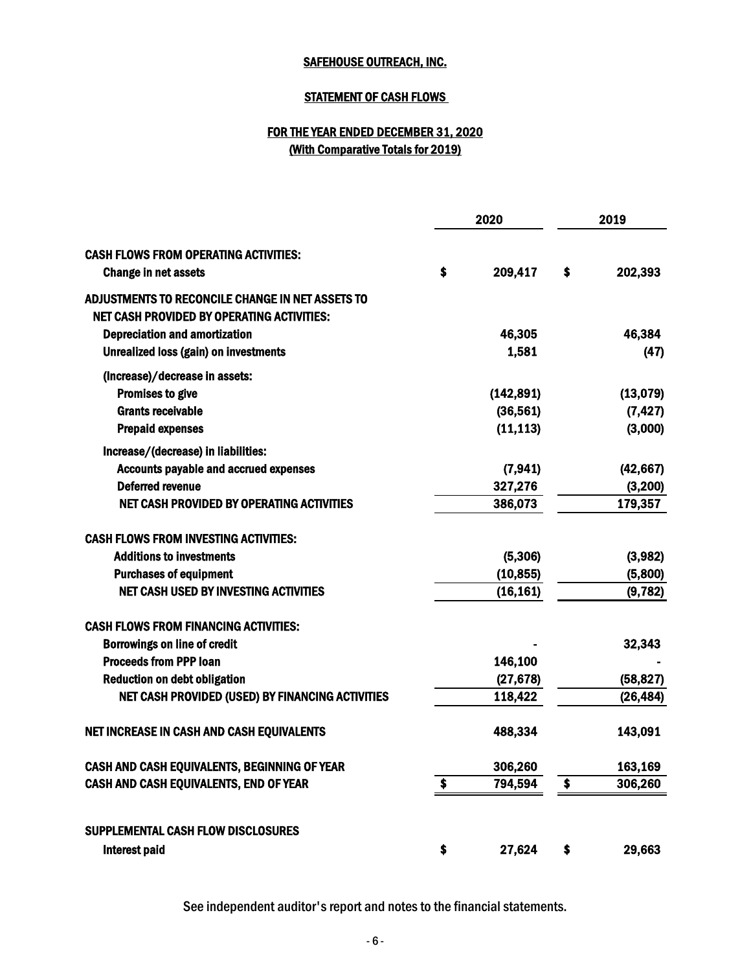## **STATEMENT OF CASH FLOWS**

## (With Comparative Totals for 2019) FOR THE YEAR ENDED DECEMBER 31, 2020

|                                                                                                       | 2020          | 2019          |
|-------------------------------------------------------------------------------------------------------|---------------|---------------|
| <b>CASH FLOWS FROM OPERATING ACTIVITIES:</b><br>Change in net assets                                  | \$<br>209,417 | \$<br>202,393 |
| ADJUSTMENTS TO RECONCILE CHANGE IN NET ASSETS TO<br><b>NET CASH PROVIDED BY OPERATING ACTIVITIES:</b> |               |               |
| <b>Depreciation and amortization</b>                                                                  | 46,305        | 46,384        |
| <b>Unrealized loss (gain) on investments</b>                                                          | 1,581         | (47)          |
| (Increase)/decrease in assets:                                                                        |               |               |
| <b>Promises to give</b>                                                                               | (142, 891)    | (13,079)      |
| <b>Grants receivable</b>                                                                              | (36, 561)     | (7, 427)      |
| <b>Prepaid expenses</b>                                                                               | (11, 113)     | (3,000)       |
| Increase/(decrease) in liabilities:                                                                   |               |               |
| <b>Accounts payable and accrued expenses</b>                                                          | (7, 941)      | (42, 667)     |
| <b>Deferred revenue</b>                                                                               | 327,276       | (3, 200)      |
| <b>NET CASH PROVIDED BY OPERATING ACTIVITIES</b>                                                      | 386,073       | 179,357       |
| <b>CASH FLOWS FROM INVESTING ACTIVITIES:</b>                                                          |               |               |
| <b>Additions to investments</b>                                                                       | (5,306)       | (3,982)       |
| <b>Purchases of equipment</b>                                                                         | (10, 855)     | (5,800)       |
| <b>NET CASH USED BY INVESTING ACTIVITIES</b>                                                          | (16, 161)     | (9, 782)      |
| <b>CASH FLOWS FROM FINANCING ACTIVITIES:</b>                                                          |               |               |
| <b>Borrowings on line of credit</b>                                                                   |               | 32,343        |
| <b>Proceeds from PPP loan</b>                                                                         | 146,100       |               |
| <b>Reduction on debt obligation</b>                                                                   | (27, 678)     | (58, 827)     |
| <b>NET CASH PROVIDED (USED) BY FINANCING ACTIVITIES</b>                                               | 118,422       | (26, 484)     |
| NET INCREASE IN CASH AND CASH EQUIVALENTS                                                             | 488,334       | 143,091       |
| CASH AND CASH EQUIVALENTS, BEGINNING OF YEAR                                                          | 306,260       | 163,169       |
| CASH AND CASH EQUIVALENTS, END OF YEAR                                                                | \$<br>794,594 | \$<br>306,260 |
| SUPPLEMENTAL CASH FLOW DISCLOSURES                                                                    |               |               |
|                                                                                                       |               |               |
| Interest paid                                                                                         | \$<br>27,624  | \$<br>29,663  |

See independent auditor's report and notes to the financial statements.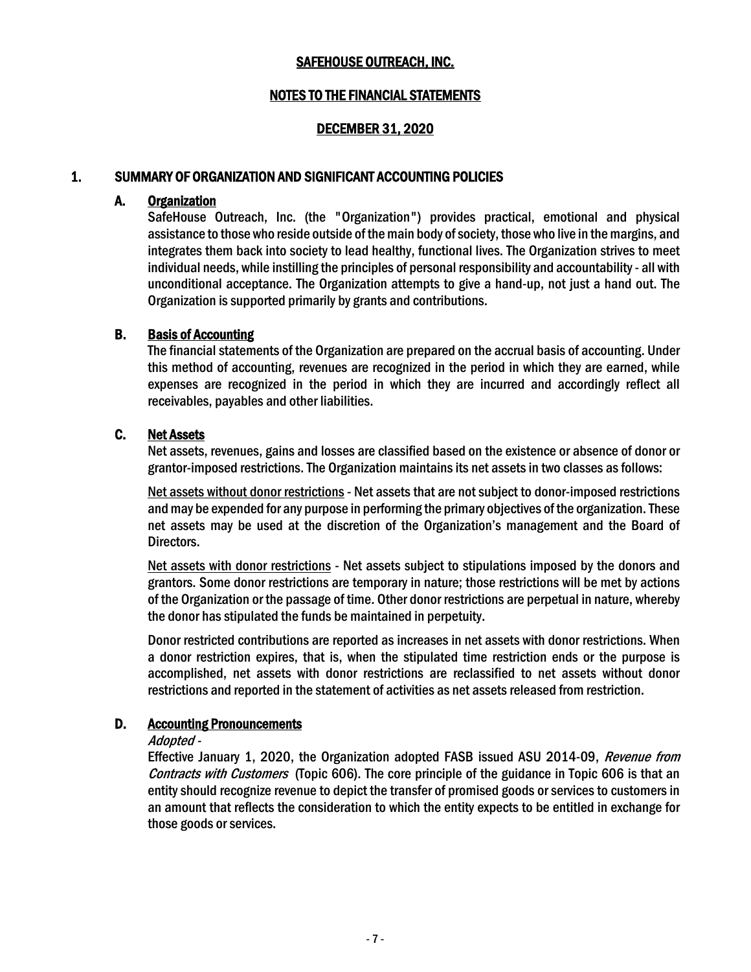#### NOTES TO THE FINANCIAL STATEMENTS

#### DECEMBER 31, 2020

#### 1. SUMMARY OF ORGANIZATION AND SIGNIFICANT ACCOUNTING POLICIES

#### A. Organization

SafeHouse Outreach, Inc. (the "Organization") provides practical, emotional and physical assistance to those who reside outside of the main body of society, those who live in the margins, and integrates them back into society to lead healthy, functional lives. The Organization strives to meet individual needs, while instilling the principles of personal responsibility and accountability- all with unconditional acceptance. The Organization attempts to give a hand-up, not just a hand out. The Organization is supported primarily by grants and contributions.

#### B. Basis of Accounting

The financial statements of the Organization are prepared on the accrual basis of accounting. Under this method of accounting, revenues are recognized in the period in which they are earned, while expenses are recognized in the period in which they are incurred and accordingly reflect all receivables, payables and other liabilities.

#### C. Net Assets

Net assets, revenues, gains and losses are classified based on the existence or absence of donor or grantor-imposed restrictions. The Organization maintains its net assets in two classes as follows:

Net assets without donor restrictions - Net assets that are not subject to donor-imposed restrictions and may be expended for any purpose in performing the primary objectives of the organization. These net assets may be used at the discretion of the Organization's management and the Board of Directors.

Net assets with donor restrictions - Net assets subject to stipulations imposed by the donors and grantors. Some donor restrictions are temporary in nature; those restrictions will be met by actions of the Organization or the passage of time. Other donor restrictions are perpetual in nature, whereby the donor has stipulated the funds be maintained in perpetuity.

Donor restricted contributions are reported as increases in net assets with donor restrictions. When a donor restriction expires, that is, when the stipulated time restriction ends or the purpose is accomplished, net assets with donor restrictions are reclassified to net assets without donor restrictions and reported in the statement of activities as net assets released from restriction.

#### D. Accounting Pronouncements

#### Adopted -

Effective January 1, 2020, the Organization adopted FASB issued ASU 2014-09, Revenue from Contracts with Customers (Topic 606). The core principle of the guidance in Topic 606 is that an entity should recognize revenue to depict the transfer of promised goods or services to customers in an amount that reflects the consideration to which the entity expects to be entitled in exchange for those goods or services.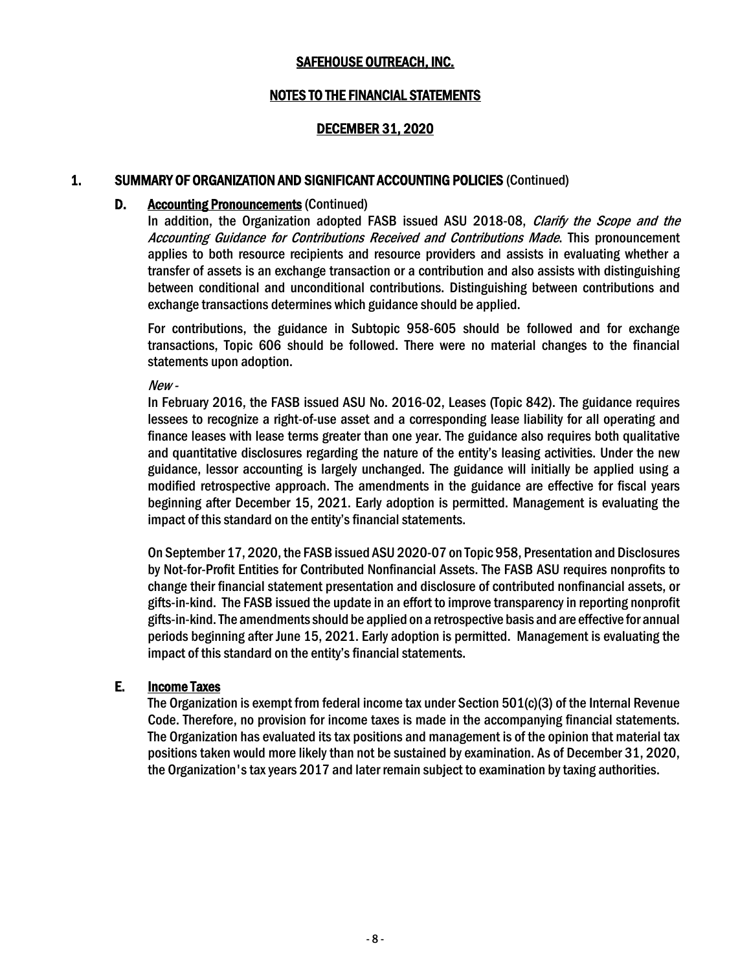#### NOTES TO THE FINANCIAL STATEMENTS

#### DECEMBER 31, 2020

#### 1. SUMMARY OF ORGANIZATION AND SIGNIFICANT ACCOUNTING POLICIES (Continued)

#### D. Accounting Pronouncements(Continued)

In addition, the Organization adopted FASB issued ASU 2018-08, *Clarify the Scope and the* Accounting Guidance for Contributions Received and Contributions Made. This pronouncement applies to both resource recipients and resource providers and assists in evaluating whether a transfer of assets is an exchange transaction or a contribution and also assists with distinguishing between conditional and unconditional contributions. Distinguishing between contributions and exchange transactions determines which guidance should be applied.

For contributions, the guidance in Subtopic 958-605 should be followed and for exchange transactions, Topic 606 should be followed. There were no material changes to the financial statements upon adoption.

New -

In February 2016, the FASB issued ASU No. 2016-02, Leases (Topic 842). The guidance requires lessees to recognize a right-of-use asset and a corresponding lease liability for all operating and finance leases with lease terms greater than one year. The guidance also requires both qualitative and quantitative disclosures regarding the nature of the entity's leasing activities. Under the new guidance, lessor accounting is largely unchanged. The guidance will initially be applied using a modified retrospective approach. The amendments in the guidance are effective for fiscal years beginning after December 15, 2021. Early adoption is permitted. Management is evaluating the impact of this standard on the entity's financial statements.

On September 17, 2020, the FASB issued ASU 2020-07 on Topic 958, Presentation and Disclosures by Not-for-Profit Entities for Contributed Nonfinancial Assets. The FASB ASU requires nonprofits to change their financial statement presentation and disclosure of contributed nonfinancial assets, or gifts-in-kind. The FASB issued the update in an effort to improve transparency in reporting nonprofit gifts-in-kind. The amendments should be applied on a retrospective basis and are effective for annual periods beginning after June 15, 2021. Early adoption is permitted. Management is evaluating the impact of this standard on the entity's financial statements.

#### E. Income Taxes

The Organization is exempt from federal income tax under Section 501(c)(3) of the Internal Revenue Code. Therefore, no provision for income taxes is made in the accompanying financial statements. The Organization has evaluated its tax positions and management is of the opinion that material tax positions taken would more likely than not be sustained by examination. As of December 31, 2020, the Organization's tax years 2017 and later remain subject to examination by taxing authorities.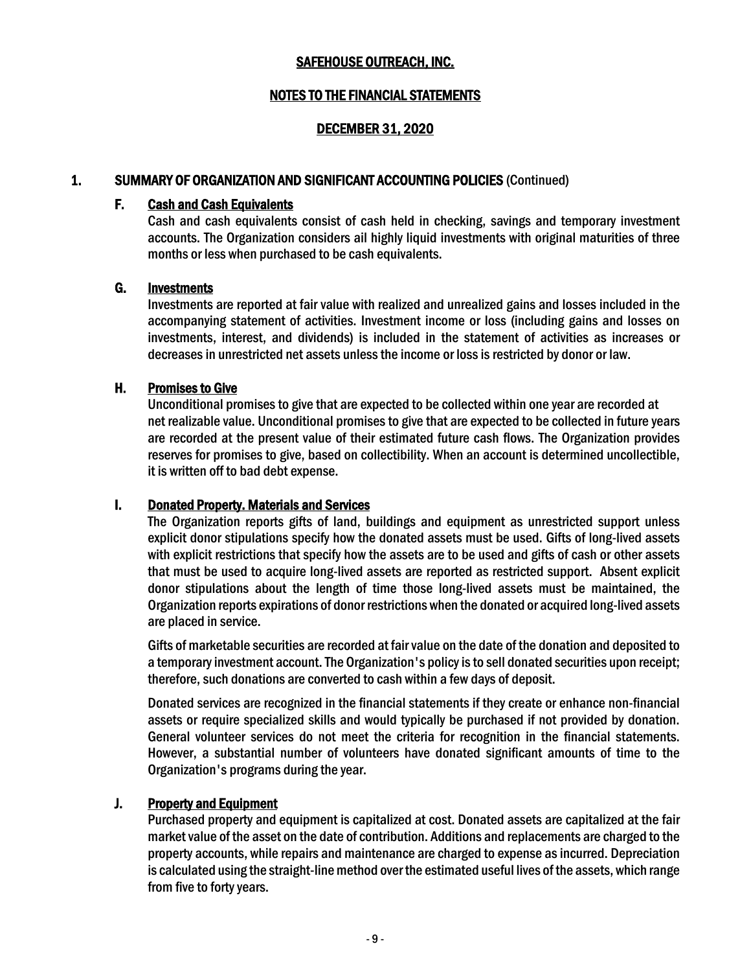#### NOTES TO THE FINANCIAL STATEMENTS

#### DECEMBER 31, 2020

#### 1. SUMMARY OF ORGANIZATION AND SIGNIFICANT ACCOUNTING POLICIES (Continued)

#### F. Cash and Cash Equivalents

Cash and cash equivalents consist of cash held in checking, savings and temporary investment accounts. The Organization considers ail highly liquid investments with original maturities of three months or less when purchased to be cash equivalents.

#### G. Investments

Investments are reported at fair value with realized and unrealized gains and losses included in the accompanying statement of activities. Investment income or loss (including gains and losses on investments, interest, and dividends) is included in the statement of activities as increases or decreases in unrestricted net assets unless the income or loss is restricted by donor or law.

#### H. Promises to Give

Unconditional promises to give that are expected to be collected within one year are recorded at net realizable value. Unconditional promises to give that are expected to be collected in future years are recorded at the present value of their estimated future cash flows. The Organization provides reserves for promises to give, based on collectibility. When an account is determined uncollectible, it is written off to bad debt expense.

#### I. Donated Property. Materials and Services

The Organization reports gifts of land, buildings and equipment as unrestricted support unless explicit donor stipulations specify how the donated assets must be used. Gifts of long-lived assets with explicit restrictions that specify how the assets are to be used and gifts of cash or other assets that must be used to acquire long-lived assets are reported as restricted support. Absent explicit donor stipulations about the length of time those long-lived assets must be maintained, the Organization reports expirations of donor restrictions when the donated or acquired long-lived assets are placed in service.

Gifts of marketable securities are recorded at fair value on the date of the donation and deposited to a temporary investment account. The Organization's policy is to sell donated securities upon receipt; therefore, such donations are converted to cash within a few days of deposit.

Donated services are recognized in the financial statements if they create or enhance non-financial assets or require specialized skills and would typically be purchased if not provided by donation. General volunteer services do not meet the criteria for recognition in the financial statements. However, a substantial number of volunteers have donated significant amounts of time to the Organization's programs during the year.

#### **J.** Property and Equipment

Purchased property and equipment is capitalized at cost. Donated assets are capitalized at the fair market value of the asset on the date of contribution. Additions and replacements are charged to the property accounts, while repairs and maintenance are charged to expense asincurred. Depreciation is calculated using the straight-line method over the estimated useful lives of the assets, which range from five to forty years.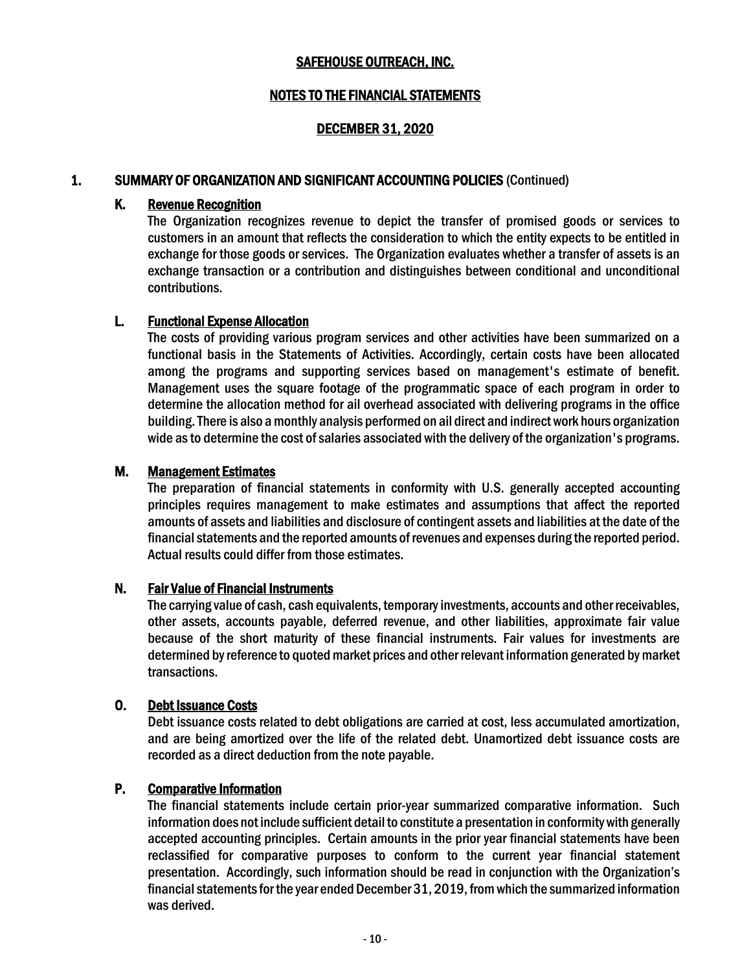#### NOTES TO THE FINANCIAL STATEMENTS

#### DECEMBER 31, 2020

#### 1. SUMMARY OF ORGANIZATION AND SIGNIFICANT ACCOUNTING POLICIES (Continued)

#### K. Revenue Recognition

The Organization recognizes revenue to depict the transfer of promised goods or services to customers in an amount that reflects the consideration to which the entity expects to be entitled in exchange for those goods or services. The Organization evaluates whether a transfer of assets is an exchange transaction or a contribution and distinguishes between conditional and unconditional contributions.

#### L. Functional Expense Allocation

The costs of providing various program services and other activities have been summarized on a functional basis in the Statements of Activities. Accordingly, certain costs have been allocated among the programs and supporting services based on management's estimate of benefit. Management uses the square footage of the programmatic space of each program in order to determine the allocation method for ail overhead associated with delivering programs in the office building. There is also a monthly analysis performed on ail direct and indirect work hours organization wide as to determine the cost of salaries associated with the delivery of the organization's programs.

#### M. Management Estimates

The preparation of financial statements in conformity with U.S. generally accepted accounting principles requires management to make estimates and assumptions that affect the reported amounts of assets and liabilities and disclosure of contingent assets and liabilities at the date of the financial statements and the reported amounts of revenues and expenses during the reported period. Actual results could differ from those estimates.

#### N. Fair Value of Financial Instruments

The carrying value of cash, cash equivalents, temporary investments, accounts and other receivables, other assets, accounts payable, deferred revenue, and other liabilities, approximate fair value because of the short maturity of these financial instruments. Fair values for investments are determined by reference to quoted market prices and other relevant information generated by market transactions.

#### O. Debt Issuance Costs

Debt issuance costs related to debt obligations are carried at cost, less accumulated amortization, and are being amortized over the life of the related debt. Unamortized debt issuance costs are recorded as a direct deduction from the note payable.

#### P. Comparative Information

The financial statements include certain prior-year summarized comparative information. Such information does not include sufficient detail to constitute a presentation in conformity with generally accepted accounting principles. Certain amounts in the prior year financial statements have been reclassified for comparative purposes to conform to the current year financial statement presentation. Accordingly, such information should be read in conjunction with the Organization's financial statements for the year ended December 31, 2019, from which the summarized information was derived.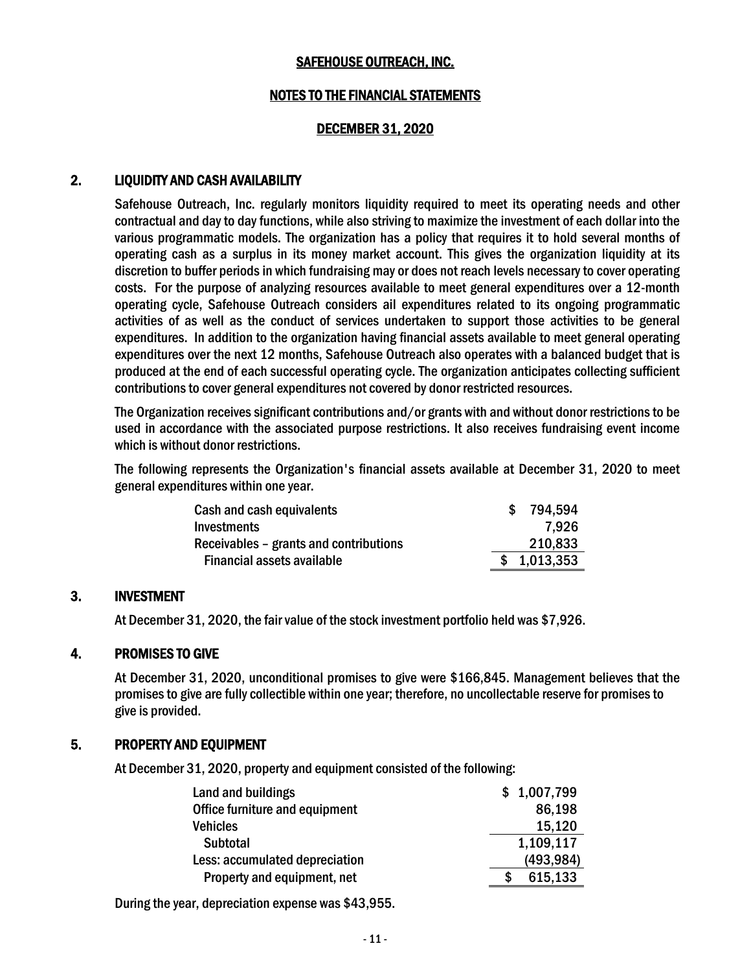#### NOTES TO THE FINANCIAL STATEMENTS

#### DECEMBER 31, 2020

#### 2. LIQUIDITY AND CASH AVAILABILITY

Safehouse Outreach, Inc. regularly monitors liquidity required to meet its operating needs and other contractual and day to day functions, while also striving to maximize the investment of each dollar into the various programmatic models. The organization has a policy that requires it to hold several months of operating cash as a surplus in its money market account. This gives the organization liquidity at its discretion to buffer periods in which fundraising may or does not reach levels necessary to cover operating costs. For the purpose of analyzing resources available to meet general expenditures over a 12-month operating cycle, Safehouse Outreach considers ail expenditures related to its ongoing programmatic activities of as well as the conduct of services undertaken to support those activities to be general expenditures. In addition to the organization having financial assets available to meet general operating expenditures over the next 12 months, Safehouse Outreach also operates with a balanced budget that is produced at the end of each successful operating cycle. The organization anticipates collecting sufficient contributions to cover general expenditures not covered by donor restricted resources.

The Organization receives significant contributions and/or grants with and without donor restrictionsto be used in accordance with the associated purpose restrictions. It also receives fundraising event income which is without donor restrictions.

The following represents the Organization's financial assets available at December 31, 2020 to meet general expenditures within one year.

| Cash and cash equivalents              | 794.594     |
|----------------------------------------|-------------|
| <b>Investments</b>                     | 7.926       |
| Receivables - grants and contributions | 210,833     |
| Financial assets available             | \$1,013,353 |

#### 3. INVESTMENT

At December 31, 2020, the fair value of the stock investment portfolio held was \$7,926.

#### 4. PROMISES TO GIVE

At December 31, 2020, unconditional promises to give were \$166,845. Management believes that the promises to give are fully collectible within one year; therefore, no uncollectable reserve for promises to give is provided.

#### 5. PROPERTY AND EQUIPMENT

At December 31, 2020, property and equipment consisted of the following:

| Land and buildings             | \$1,007,799 |
|--------------------------------|-------------|
| Office furniture and equipment | 86,198      |
| <b>Vehicles</b>                | 15,120      |
| <b>Subtotal</b>                | 1,109,117   |
| Less: accumulated depreciation | (493, 984)  |
| Property and equipment, net    | 615,133     |

During the year, depreciation expense was \$43,955.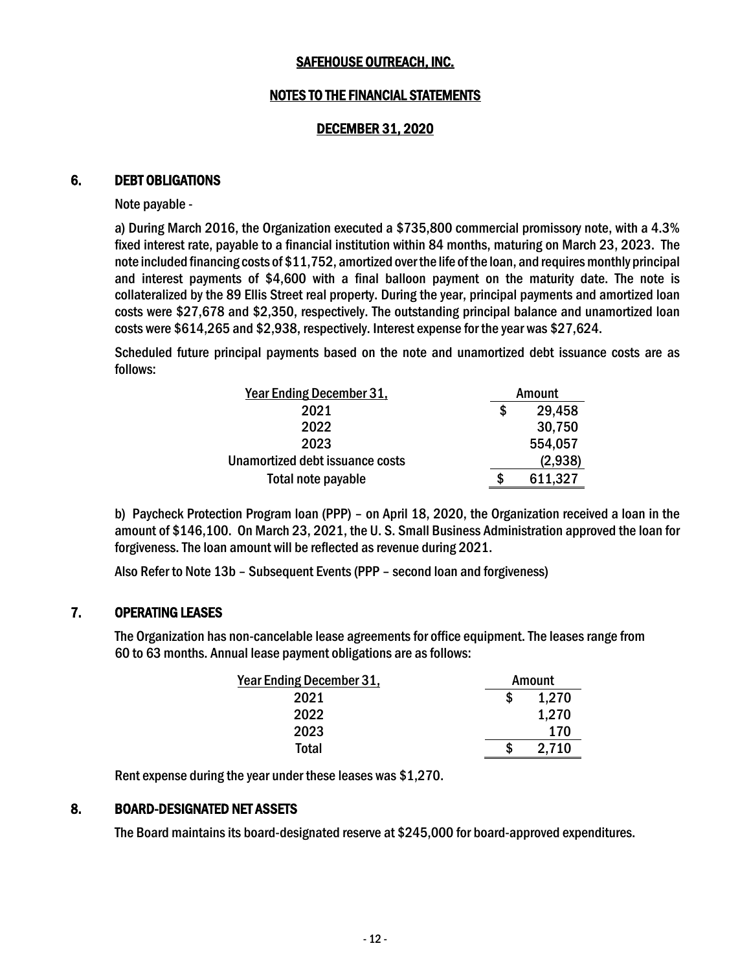#### NOTES TO THE FINANCIAL STATEMENTS

#### DECEMBER 31, 2020

#### 6. DEBT OBLIGATIONS

Note payable -

a) During March 2016, the Organization executed a \$735,800 commercial promissory note, with a 4.3% fixed interest rate, payable to a financial institution within 84 months, maturing on March 23, 2023. The note included financing costs of \$11,752, amortized over the life of the loan, and requires monthly principal and interest payments of \$4,600 with a final balloon payment on the maturity date. The note is collateralized by the 89 Ellis Street real property. During the year, principal payments and amortized loan costs were \$27,678 and \$2,350, respectively. The outstanding principal balance and unamortized loan costs were \$614,265 and \$2,938, respectively. Interest expense for the year was \$27,624.

Scheduled future principal payments based on the note and unamortized debt issuance costs are as follows:

| <b>Year Ending December 31,</b> |    | Amount  |
|---------------------------------|----|---------|
| 2021                            | \$ | 29,458  |
| 2022                            |    | 30,750  |
| 2023                            |    | 554,057 |
| Unamortized debt issuance costs |    | (2,938) |
| Total note payable              | S  | 611,327 |

b) Paycheck Protection Program loan (PPP) – on April 18, 2020, the Organization received a loan in the amount of \$146,100. On March 23, 2021, the U. S. Small Business Administration approved the loan for forgiveness. The loan amount will be reflected as revenue during 2021.

Also Refer to Note 13b – Subsequent Events (PPP – second loan and forgiveness)

#### 7. OPERATING LEASES

The Organization has non-cancelable lease agreements for office equipment. The leases range from 60 to 63 months. Annual lease payment obligations are asfollows:

| <b>Year Ending December 31,</b> |   | Amount |
|---------------------------------|---|--------|
| 2021                            | S | 1,270  |
| 2022                            |   | 1,270  |
| 2023                            |   | 170    |
| Total                           | S | 2,710  |

Rent expense during the year under these leases was \$1,270.

#### 8. BOARD-DESIGNATED NET ASSETS

The Board maintains its board-designated reserve at \$245,000 for board-approved expenditures.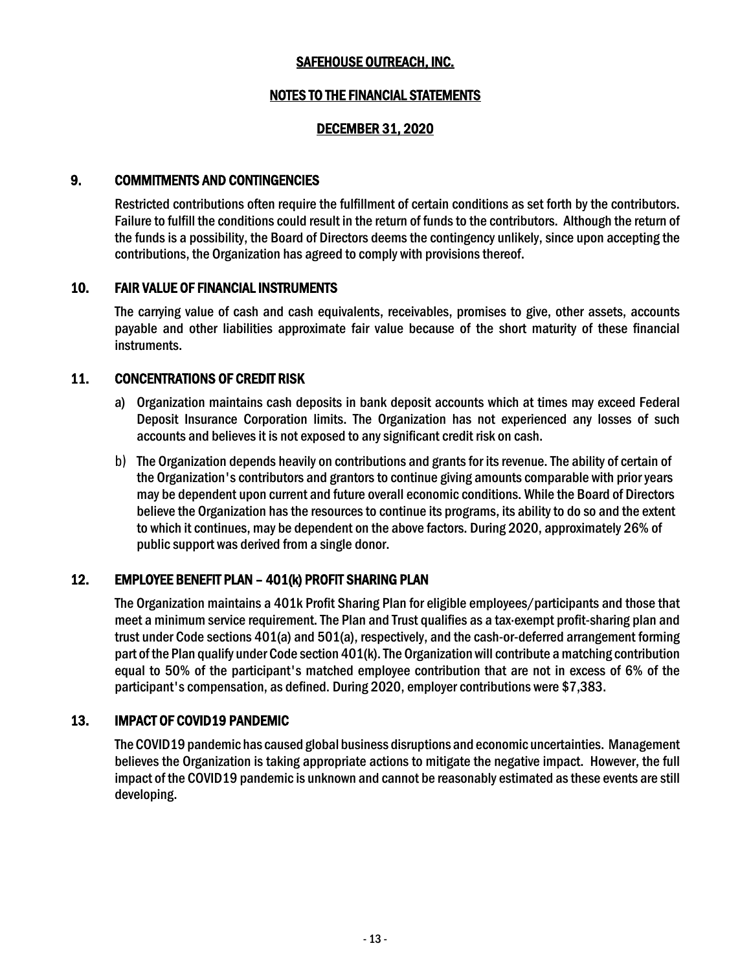#### NOTES TO THE FINANCIAL STATEMENTS

#### DECEMBER 31, 2020

#### 9. COMMITMENTS AND CONTINGENCIES

Restricted contributions often require the fulfillment of certain conditions as set forth by the contributors. Failure to fulfill the conditions could result in the return of funds to the contributors. Although the return of the funds is a possibility, the Board of Directors deems the contingency unlikely, since upon accepting the contributions, the Organization has agreed to comply with provisions thereof.

#### 10. FAIR VALUE OF FINANCIAL INSTRUMENTS

The carrying value of cash and cash equivalents, receivables, promises to give, other assets, accounts payable and other liabilities approximate fair value because of the short maturity of these financial instruments.

#### 11. CONCENTRATIONS OF CREDIT RISK

- a) Organization maintains cash deposits in bank deposit accounts which at times may exceed Federal Deposit Insurance Corporation limits. The Organization has not experienced any losses of such accounts and believes it is not exposed to any significant credit risk on cash.
- b) The Organization depends heavily on contributions and grants for its revenue. The ability of certain of the Organization's contributors and grantors to continue giving amounts comparable with prior years may be dependent upon current and future overall economic conditions. While the Board of Directors believe the Organization has the resources to continue its programs, its ability to do so and the extent to which it continues, may be dependent on the above factors. During 2020, approximately 26% of public support was derived from a single donor.

#### 12. EMPLOYEE BENEFIT PLAN – 401(k) PROFIT SHARING PLAN

The Organization maintains a 401k Profit Sharing Plan for eligible employees/participants and those that meet a minimum service requirement. The Plan and Trust qualifies as a tax·exempt profit-sharing plan and trust under Code sections 401(a) and 501(a), respectively, and the cash-or-deferred arrangement forming part of the Plan qualify under Code section 401(k). The Organization will contribute a matching contribution equal to 50% of the participant's matched employee contribution that are not in excess of 6% of the participant's compensation, as defined. During 2020, employer contributions were \$7,383.

#### 13. IMPACT OF COVID19 PANDEMIC

The COVID19 pandemic has caused global business disruptions and economic uncertainties. Management believes the Organization is taking appropriate actions to mitigate the negative impact. However, the full impact of the COVID19 pandemic is unknown and cannot be reasonably estimated as these events are still developing.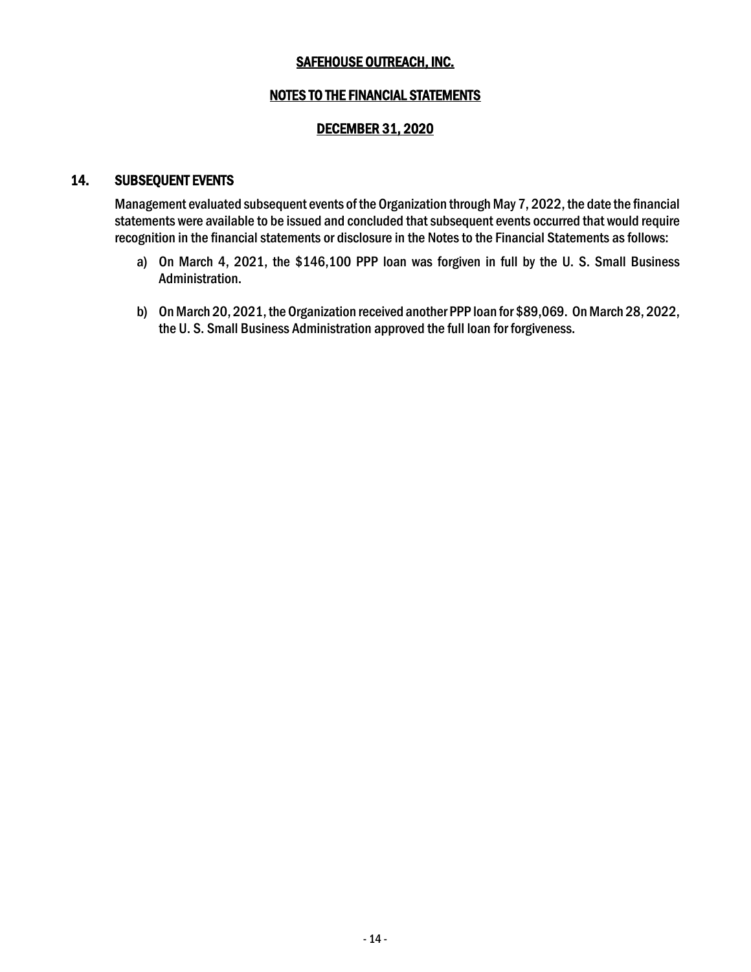#### NOTES TO THE FINANCIAL STATEMENTS

#### DECEMBER 31, 2020

#### 14. SUBSEQUENT EVENTS

Management evaluated subsequent events of the Organization through May 7, 2022, the date the financial statements were available to be issued and concluded that subsequent events occurred that would require recognition in the financial statements or disclosure in the Notes to the Financial Statements as follows:

- a) On March 4, 2021, the \$146,100 PPP loan was forgiven in full by the U. S. Small Business Administration.
- b) On March 20, 2021, the Organization received another PPP loan for \$89,069. On March 28, 2022, the U. S. Small Business Administration approved the full loan for forgiveness.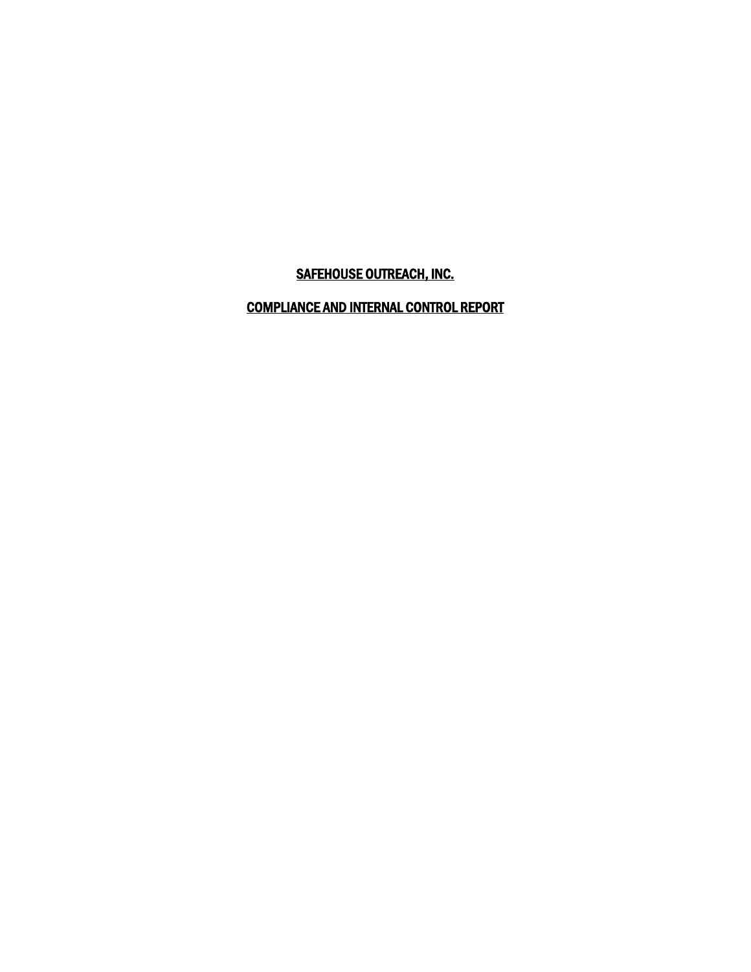## COMPLIANCE AND INTERNAL CONTROL REPORT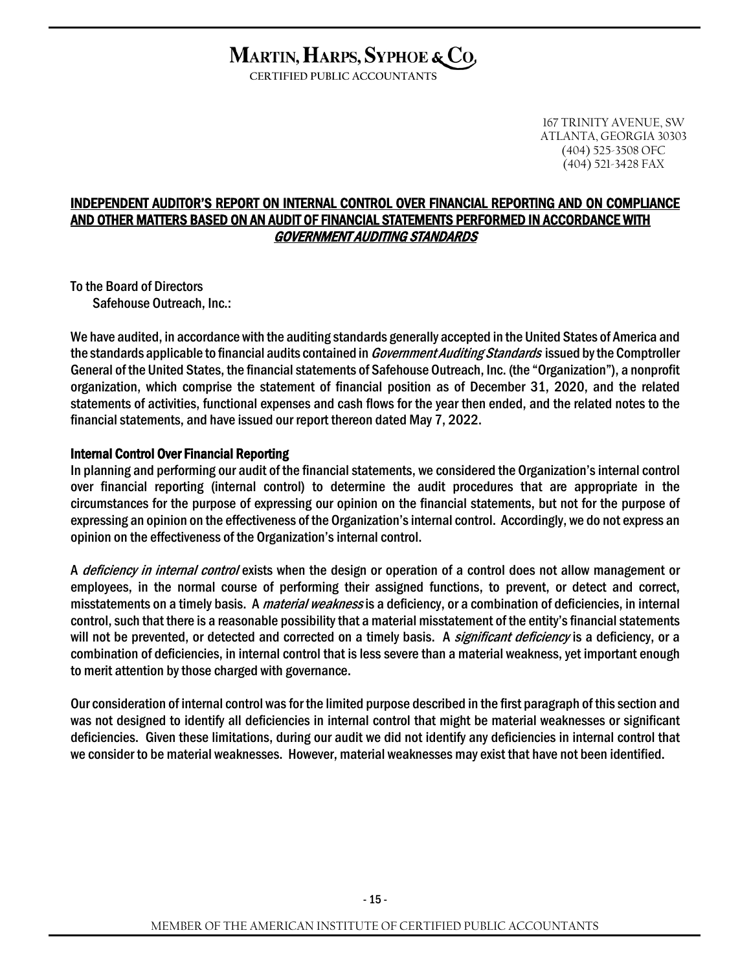# MARTIN, HARPS, SYPHOE & CO,

**CERTIFIED PUBLIC ACCOUNTANTS**

167 TRINITY AVENUE, SW ATLANTA, GEORGIA 30303 (404) 525-3508 OFC (404) 521-3428 FAX

#### INDEPENDENT AUDITOR'S REPORT ON INTERNAL CONTROL OVER FINANCIAL REPORTING AND ON COMPLIANCE AND OTHER MATTERS BASED ON AN AUDIT OF FINANCIAL STATEMENTS PERFORMED IN ACCORDANCE WITH GOVERNMENT AUDITING STANDARDS

To the Board of Directors Safehouse Outreach, Inc.:

We have audited, in accordance with the auditing standards generally accepted in the United States of America and the standards applicable to financial audits contained in *Government Auditing Standards* issued by the Comptroller General of the United States, the financial statements of Safehouse Outreach, Inc. (the "Organization"), a nonprofit organization, which comprise the statement of financial position as of December 31, 2020, and the related statements of activities, functional expenses and cash flows for the year then ended, and the related notes to the financial statements, and have issued our report thereon dated May 7, 2022.

#### Internal Control Over Financial Reporting

In planning and performing our audit of the financial statements, we considered the Organization's internal control over financial reporting (internal control) to determine the audit procedures that are appropriate in the circumstances for the purpose of expressing our opinion on the financial statements, but not for the purpose of expressing an opinion on the effectiveness of the Organization's internal control. Accordingly, we do not express an opinion on the effectiveness of the Organization's internal control.

A *deficiency in internal control* exists when the design or operation of a control does not allow management or employees, in the normal course of performing their assigned functions, to prevent, or detect and correct, misstatements on a timely basis. A *material weakness* is a deficiency, or a combination of deficiencies, in internal control, such that there is a reasonable possibility that a material misstatement of the entity's financial statements will not be prevented, or detected and corrected on a timely basis. A *significant deficiency* is a deficiency, or a combination of deficiencies, in internal control that is less severe than a material weakness, yet important enough to merit attention by those charged with governance.

Our consideration of internal control wasfor the limited purpose described in the first paragraph of this section and was not designed to identify all deficiencies in internal control that might be material weaknesses or significant deficiencies. Given these limitations, during our audit we did not identify any deficiencies in internal control that we consider to be material weaknesses. However, material weaknesses may exist that have not been identified.